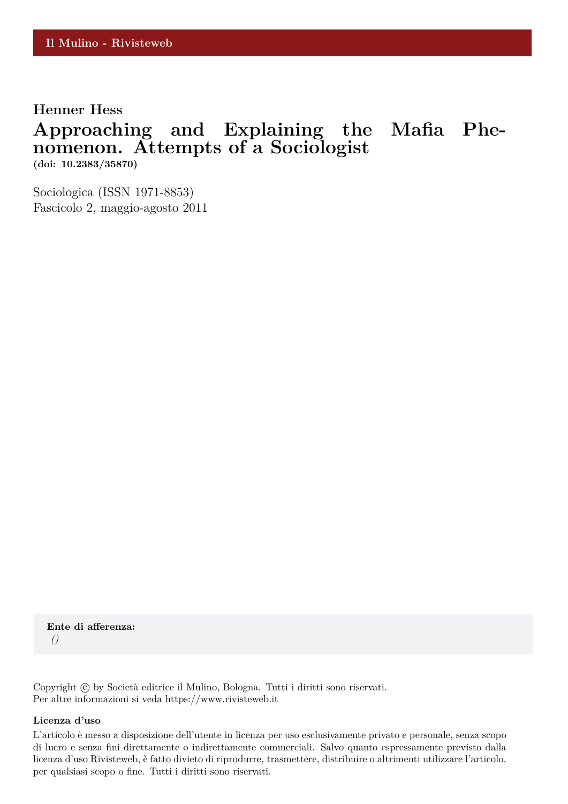### **Henner Hess**

## **Approaching and Explaining the Mafia Phenomenon. Attempts of a Sociologist (doi: 10.2383/35870)**

Sociologica (ISSN 1971-8853) Fascicolo 2, maggio-agosto 2011

**Ente di afferenza:** *()*

Copyright © by Società editrice il Mulino, Bologna. Tutti i diritti sono riservati. Per altre informazioni si veda https://www.rivisteweb.it

#### **Licenza d'uso**

L'articolo è messo a disposizione dell'utente in licenza per uso esclusivamente privato e personale, senza scopo di lucro e senza fini direttamente o indirettamente commerciali. Salvo quanto espressamente previsto dalla licenza d'uso Rivisteweb, è fatto divieto di riprodurre, trasmettere, distribuire o altrimenti utilizzare l'articolo, per qualsiasi scopo o fine. Tutti i diritti sono riservati.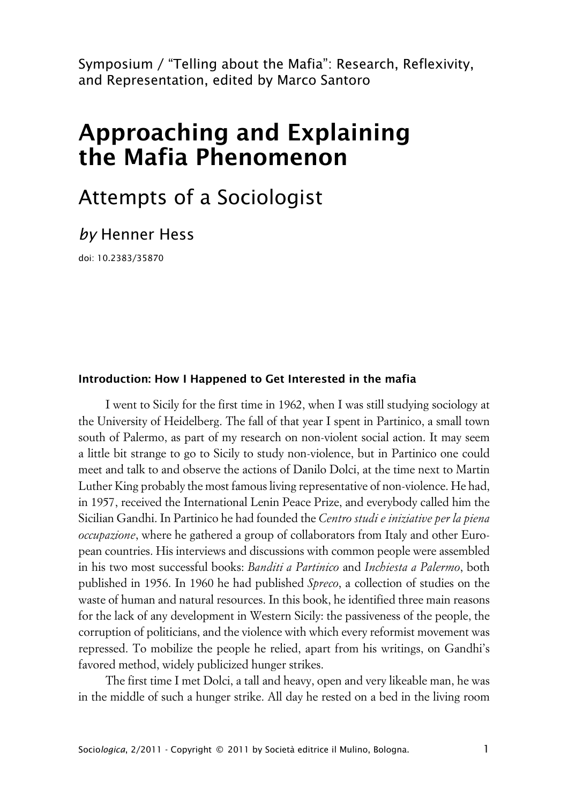Symposium / "Telling about the Mafia": Research, Reflexivity, and Representation, edited by Marco Santoro

# **Approaching and Explaining the Mafia Phenomenon**

## Attempts of a Sociologist

*by* Henner Hess

doi: 10.2383/35870

#### **xIntroduction: How I Happened to Get Interested in the mafia**

I went to Sicily for the first time in 1962, when I was still studying sociology at the University of Heidelberg. The fall of that year I spent in Partinico, a small town south of Palermo, as part of my research on non-violent social action. It may seem a little bit strange to go to Sicily to study non-violence, but in Partinico one could meet and talk to and observe the actions of Danilo Dolci, at the time next to Martin Luther King probably the most famous living representative of non-violence. He had, in 1957, received the International Lenin Peace Prize, and everybody called him the Sicilian Gandhi. In Partinico he had founded the *Centro studi e iniziative per la piena occupazione*, where he gathered a group of collaborators from Italy and other European countries. His interviews and discussions with common people were assembled in his two most successful books: *Banditi a Partinico* and *Inchiesta a Palermo*, both published in 1956. In 1960 he had published *Spreco*, a collection of studies on the waste of human and natural resources. In this book, he identified three main reasons for the lack of any development in Western Sicily: the passiveness of the people, the corruption of politicians, and the violence with which every reformist movement was repressed. To mobilize the people he relied, apart from his writings, on Gandhi's favored method, widely publicized hunger strikes.

The first time I met Dolci, a tall and heavy, open and very likeable man, he was in the middle of such a hunger strike. All day he rested on a bed in the living room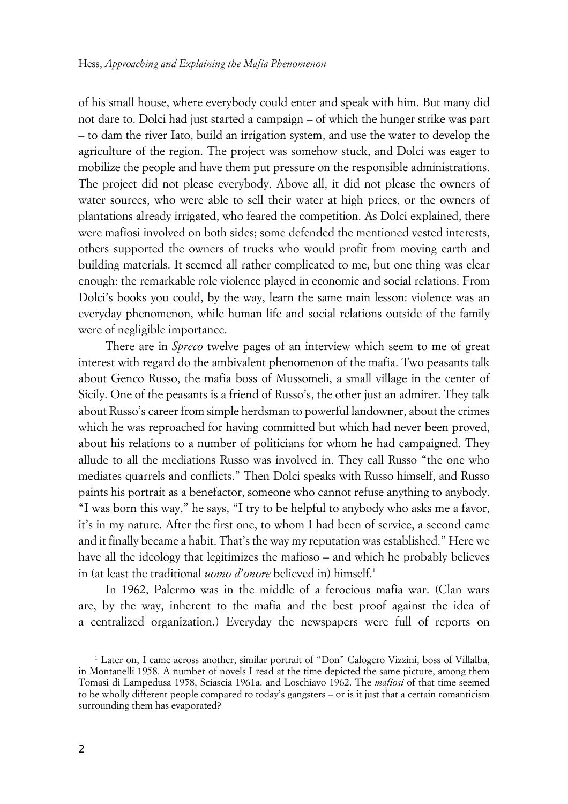of his small house, where everybody could enter and speak with him. But many did not dare to. Dolci had just started a campaign – of which the hunger strike was part – to dam the river Iato, build an irrigation system, and use the water to develop the agriculture of the region. The project was somehow stuck, and Dolci was eager to mobilize the people and have them put pressure on the responsible administrations. The project did not please everybody. Above all, it did not please the owners of water sources, who were able to sell their water at high prices, or the owners of plantations already irrigated, who feared the competition. As Dolci explained, there were mafiosi involved on both sides; some defended the mentioned vested interests, others supported the owners of trucks who would profit from moving earth and building materials. It seemed all rather complicated to me, but one thing was clear enough: the remarkable role violence played in economic and social relations. From Dolci's books you could, by the way, learn the same main lesson: violence was an everyday phenomenon, while human life and social relations outside of the family were of negligible importance.

There are in *Spreco* twelve pages of an interview which seem to me of great interest with regard do the ambivalent phenomenon of the mafia. Two peasants talk about Genco Russo, the mafia boss of Mussomeli, a small village in the center of Sicily. One of the peasants is a friend of Russo's, the other just an admirer. They talk about Russo's career from simple herdsman to powerful landowner, about the crimes which he was reproached for having committed but which had never been proved, about his relations to a number of politicians for whom he had campaigned. They allude to all the mediations Russo was involved in. They call Russo "the one who mediates quarrels and conflicts." Then Dolci speaks with Russo himself, and Russo paints his portrait as a benefactor, someone who cannot refuse anything to anybody. "I was born this way," he says, "I try to be helpful to anybody who asks me a favor, it's in my nature. After the first one, to whom I had been of service, a second came and it finally became a habit. That's the way my reputation was established." Here we have all the ideology that legitimizes the mafioso – and which he probably believes in (at least the traditional *uomo d'onore* believed in) himself.<sup>1</sup>

In 1962, Palermo was in the middle of a ferocious mafia war. (Clan wars are, by the way, inherent to the mafia and the best proof against the idea of a centralized organization.) Everyday the newspapers were full of reports on

<sup>1</sup> Later on, I came across another, similar portrait of "Don" Calogero Vizzini, boss of Villalba, in Montanelli 1958. A number of novels I read at the time depicted the same picture, among them Tomasi di Lampedusa 1958, Sciascia 1961a, and Loschiavo 1962. The *mafiosi* of that time seemed to be wholly different people compared to today's gangsters – or is it just that a certain romanticism surrounding them has evaporated?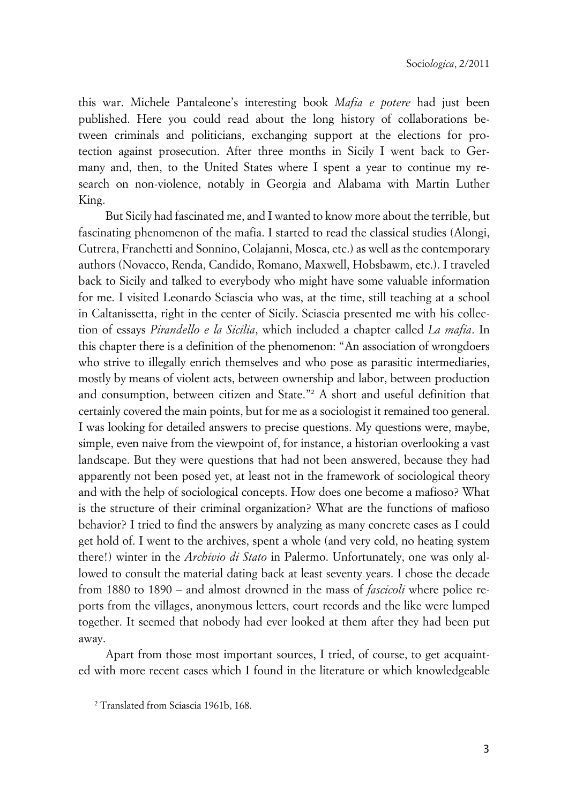this war. Michele Pantaleone's interesting book *Mafia e potere* had just been published. Here you could read about the long history of collaborations between criminals and politicians, exchanging support at the elections for protection against prosecution. After three months in Sicily I went back to Germany and, then, to the United States where I spent a year to continue my research on non-violence, notably in Georgia and Alabama with Martin Luther King.

But Sicily had fascinated me, and I wanted to know more about the terrible, but fascinating phenomenon of the mafia. I started to read the classical studies (Alongi, Cutrera, Franchetti and Sonnino, Colajanni, Mosca, etc.) as well as the contemporary authors (Novacco, Renda, Candido, Romano, Maxwell, Hobsbawm, etc.). I traveled back to Sicily and talked to everybody who might have some valuable information for me. I visited Leonardo Sciascia who was, at the time, still teaching at a school in Caltanissetta, right in the center of Sicily. Sciascia presented me with his collection of essays *Pirandello e la Sicilia*, which included a chapter called *La mafia*. In this chapter there is a definition of the phenomenon: "An association of wrongdoers who strive to illegally enrich themselves and who pose as parasitic intermediaries, mostly by means of violent acts, between ownership and labor, between production and consumption, between citizen and State."<sup>2</sup> A short and useful definition that certainly covered the main points, but for me as a sociologist it remained too general. I was looking for detailed answers to precise questions. My questions were, maybe, simple, even naive from the viewpoint of, for instance, a historian overlooking a vast landscape. But they were questions that had not been answered, because they had apparently not been posed yet, at least not in the framework of sociological theory and with the help of sociological concepts. How does one become a mafioso? What is the structure of their criminal organization? What are the functions of mafioso behavior? I tried to find the answers by analyzing as many concrete cases as I could get hold of. I went to the archives, spent a whole (and very cold, no heating system there!) winter in the *Archivio di Stato* in Palermo. Unfortunately, one was only allowed to consult the material dating back at least seventy years. I chose the decade from 1880 to 1890 – and almost drowned in the mass of *fascicoli* where police reports from the villages, anonymous letters, court records and the like were lumped together. It seemed that nobody had ever looked at them after they had been put away.

Apart from those most important sources, I tried, of course, to get acquainted with more recent cases which I found in the literature or which knowledgeable

<sup>2</sup> Translated from Sciascia 1961b, 168.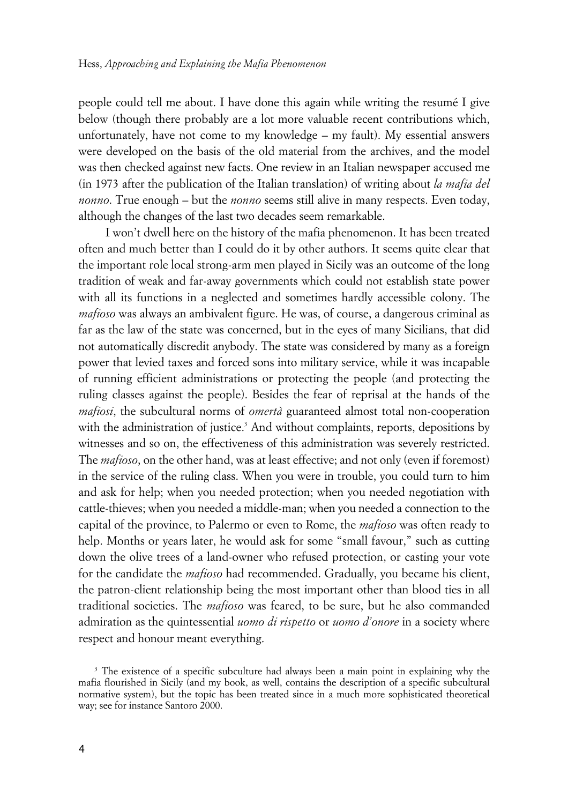people could tell me about. I have done this again while writing the resumé I give below (though there probably are a lot more valuable recent contributions which, unfortunately, have not come to my knowledge – my fault). My essential answers were developed on the basis of the old material from the archives, and the model was then checked against new facts. One review in an Italian newspaper accused me (in 1973 after the publication of the Italian translation) of writing about *la mafia del nonno*. True enough – but the *nonno* seems still alive in many respects. Even today, although the changes of the last two decades seem remarkable.

I won't dwell here on the history of the mafia phenomenon. It has been treated often and much better than I could do it by other authors. It seems quite clear that the important role local strong-arm men played in Sicily was an outcome of the long tradition of weak and far-away governments which could not establish state power with all its functions in a neglected and sometimes hardly accessible colony. The *mafioso* was always an ambivalent figure. He was, of course, a dangerous criminal as far as the law of the state was concerned, but in the eyes of many Sicilians, that did not automatically discredit anybody. The state was considered by many as a foreign power that levied taxes and forced sons into military service, while it was incapable of running efficient administrations or protecting the people (and protecting the ruling classes against the people). Besides the fear of reprisal at the hands of the *mafiosi*, the subcultural norms of *omertà* guaranteed almost total non-cooperation with the administration of justice.<sup>3</sup> And without complaints, reports, depositions by witnesses and so on, the effectiveness of this administration was severely restricted. The *mafioso*, on the other hand, was at least effective; and not only (even if foremost) in the service of the ruling class. When you were in trouble, you could turn to him and ask for help; when you needed protection; when you needed negotiation with cattle-thieves; when you needed a middle-man; when you needed a connection to the capital of the province, to Palermo or even to Rome, the *mafioso* was often ready to help. Months or years later, he would ask for some "small favour," such as cutting down the olive trees of a land-owner who refused protection, or casting your vote for the candidate the *mafioso* had recommended. Gradually, you became his client, the patron-client relationship being the most important other than blood ties in all traditional societies. The *mafioso* was feared, to be sure, but he also commanded admiration as the quintessential *uomo di rispetto* or *uomo d'onore* in a society where respect and honour meant everything.

<sup>&</sup>lt;sup>3</sup> The existence of a specific subculture had always been a main point in explaining why the mafia flourished in Sicily (and my book, as well, contains the description of a specific subcultural normative system), but the topic has been treated since in a much more sophisticated theoretical way; see for instance Santoro 2000.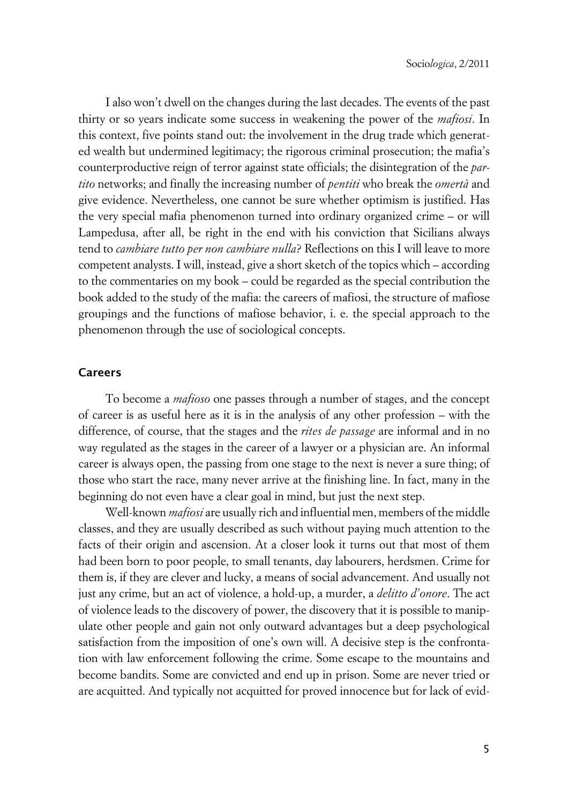I also won't dwell on the changes during the last decades. The events of the past thirty or so years indicate some success in weakening the power of the *mafiosi*. In this context, five points stand out: the involvement in the drug trade which generated wealth but undermined legitimacy; the rigorous criminal prosecution; the mafia's counterproductive reign of terror against state officials; the disintegration of the *partito* networks; and finally the increasing number of *pentiti* who break the *omertà* and give evidence. Nevertheless, one cannot be sure whether optimism is justified. Has the very special mafia phenomenon turned into ordinary organized crime – or will Lampedusa, after all, be right in the end with his conviction that Sicilians always tend to *cambiare tutto per non cambiare nulla*? Reflections on this I will leave to more competent analysts. I will, instead, give a short sketch of the topics which – according to the commentaries on my book – could be regarded as the special contribution the book added to the study of the mafia: the careers of mafiosi, the structure of mafiose groupings and the functions of mafiose behavior, i. e. the special approach to the phenomenon through the use of sociological concepts.

#### **xCareers**

To become a *mafioso* one passes through a number of stages, and the concept of career is as useful here as it is in the analysis of any other profession – with the difference, of course, that the stages and the *rites de passage* are informal and in no way regulated as the stages in the career of a lawyer or a physician are. An informal career is always open, the passing from one stage to the next is never a sure thing; of those who start the race, many never arrive at the finishing line. In fact, many in the beginning do not even have a clear goal in mind, but just the next step.

Well-known *mafiosi* are usually rich and influential men, members of the middle classes, and they are usually described as such without paying much attention to the facts of their origin and ascension. At a closer look it turns out that most of them had been born to poor people, to small tenants, day labourers, herdsmen. Crime for them is, if they are clever and lucky, a means of social advancement. And usually not just any crime, but an act of violence, a hold-up, a murder, a *delitto d'onore*. The act of violence leads to the discovery of power, the discovery that it is possible to manipulate other people and gain not only outward advantages but a deep psychological satisfaction from the imposition of one's own will. A decisive step is the confrontation with law enforcement following the crime. Some escape to the mountains and become bandits. Some are convicted and end up in prison. Some are never tried or are acquitted. And typically not acquitted for proved innocence but for lack of evid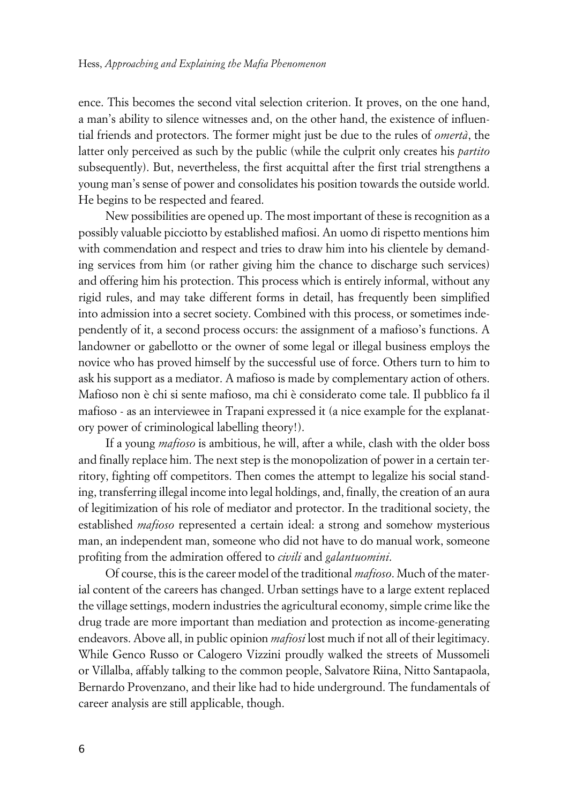ence. This becomes the second vital selection criterion. It proves, on the one hand, a man's ability to silence witnesses and, on the other hand, the existence of influential friends and protectors. The former might just be due to the rules of *omertà*, the latter only perceived as such by the public (while the culprit only creates his *partito* subsequently). But, nevertheless, the first acquittal after the first trial strengthens a young man's sense of power and consolidates his position towards the outside world. He begins to be respected and feared.

New possibilities are opened up. The most important of these is recognition as a possibly valuable picciotto by established mafiosi. An uomo di rispetto mentions him with commendation and respect and tries to draw him into his clientele by demanding services from him (or rather giving him the chance to discharge such services) and offering him his protection. This process which is entirely informal, without any rigid rules, and may take different forms in detail, has frequently been simplified into admission into a secret society. Combined with this process, or sometimes independently of it, a second process occurs: the assignment of a mafioso's functions. A landowner or gabellotto or the owner of some legal or illegal business employs the novice who has proved himself by the successful use of force. Others turn to him to ask his support as a mediator. A mafioso is made by complementary action of others. Mafioso non è chi si sente mafioso, ma chi è considerato come tale. Il pubblico fa il mafioso - as an interviewee in Trapani expressed it (a nice example for the explanatory power of criminological labelling theory!).

If a young *mafioso* is ambitious, he will, after a while, clash with the older boss and finally replace him. The next step is the monopolization of power in a certain territory, fighting off competitors. Then comes the attempt to legalize his social standing, transferring illegal income into legal holdings, and, finally, the creation of an aura of legitimization of his role of mediator and protector. In the traditional society, the established *mafioso* represented a certain ideal: a strong and somehow mysterious man, an independent man, someone who did not have to do manual work, someone profiting from the admiration offered to *civili* and *galantuomini*.

Of course, this is the career model of the traditional *mafioso*. Much of the material content of the careers has changed. Urban settings have to a large extent replaced the village settings, modern industries the agricultural economy, simple crime like the drug trade are more important than mediation and protection as income-generating endeavors. Above all, in public opinion *mafiosi* lost much if not all of their legitimacy. While Genco Russo or Calogero Vizzini proudly walked the streets of Mussomeli or Villalba, affably talking to the common people, Salvatore Riina, Nitto Santapaola, Bernardo Provenzano, and their like had to hide underground. The fundamentals of career analysis are still applicable, though.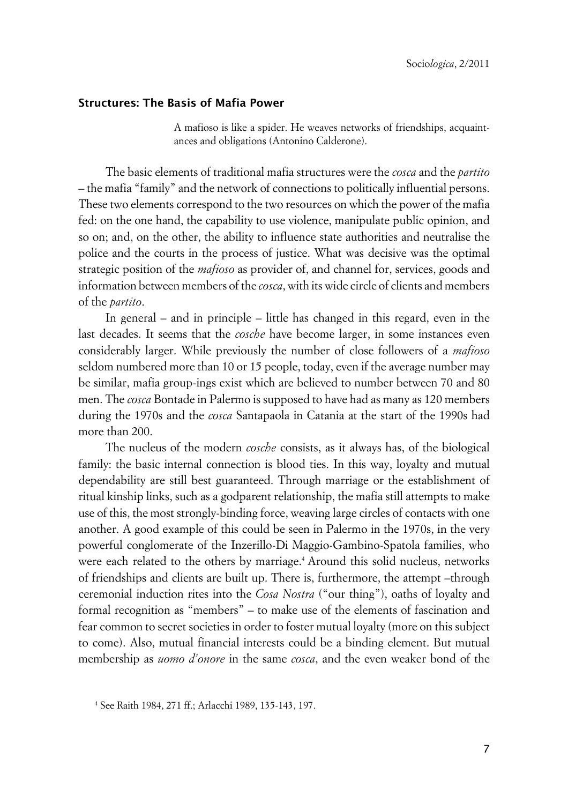#### **Structures: The Basis of Mafia Power**

A mafioso is like a spider. He weaves networks of friendships, acquaintances and obligations (Antonino Calderone).

The basic elements of traditional mafia structures were the *cosca* and the *partito* – the mafia "family" and the network of connections to politically influential persons. These two elements correspond to the two resources on which the power of the mafia fed: on the one hand, the capability to use violence, manipulate public opinion, and so on; and, on the other, the ability to influence state authorities and neutralise the police and the courts in the process of justice. What was decisive was the optimal strategic position of the *mafioso* as provider of, and channel for, services, goods and information between members of the *cosca*, with its wide circle of clients and members of the *partito*.

In general – and in principle – little has changed in this regard, even in the last decades. It seems that the *cosche* have become larger, in some instances even considerably larger. While previously the number of close followers of a *mafioso* seldom numbered more than 10 or 15 people, today, even if the average number may be similar, mafia group-ings exist which are believed to number between 70 and 80 men. The *cosca* Bontade in Palermo is supposed to have had as many as 120 members during the 1970s and the *cosca* Santapaola in Catania at the start of the 1990s had more than 200.

The nucleus of the modern *cosche* consists, as it always has, of the biological family: the basic internal connection is blood ties. In this way, loyalty and mutual dependability are still best guaranteed. Through marriage or the establishment of ritual kinship links, such as a godparent relationship, the mafia still attempts to make use of this, the most strongly-binding force, weaving large circles of contacts with one another. A good example of this could be seen in Palermo in the 1970s, in the very powerful conglomerate of the Inzerillo-Di Maggio-Gambino-Spatola families, who were each related to the others by marriage.<sup>4</sup> Around this solid nucleus, networks of friendships and clients are built up. There is, furthermore, the attempt –through ceremonial induction rites into the *Cosa Nostra* ("our thing"), oaths of loyalty and formal recognition as "members" – to make use of the elements of fascination and fear common to secret societies in order to foster mutual loyalty (more on this subject to come). Also, mutual financial interests could be a binding element. But mutual membership as *uomo d'onore* in the same *cosca*, and the even weaker bond of the

<sup>4</sup> See Raith 1984, 271 ff.; Arlacchi 1989, 135-143, 197.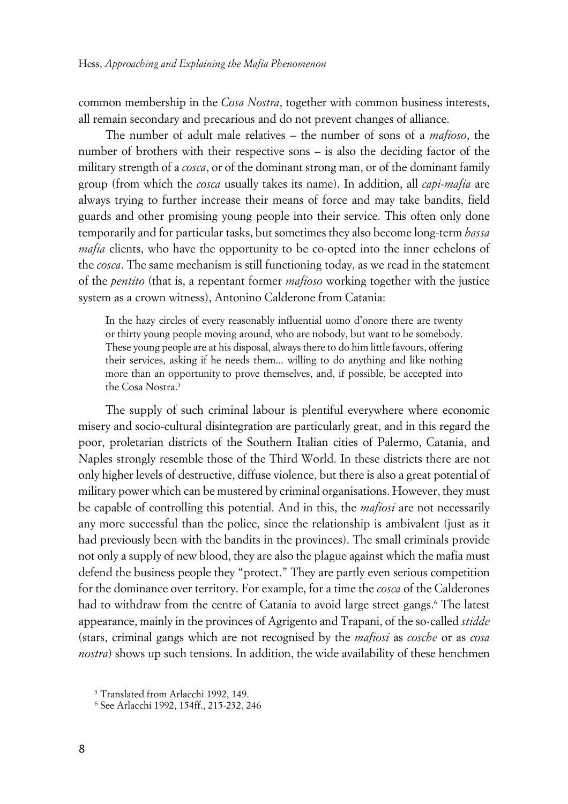common membership in the *Cosa Nostra*, together with common business interests, all remain secondary and precarious and do not prevent changes of alliance.

The number of adult male relatives – the number of sons of a *mafioso*, the number of brothers with their respective sons – is also the deciding factor of the military strength of a *cosca*, or of the dominant strong man, or of the dominant family group (from which the *cosca* usually takes its name). In addition, all *capi-mafia* are always trying to further increase their means of force and may take bandits, field guards and other promising young people into their service. This often only done temporarily and for particular tasks, but sometimes they also become long-term *bassa mafia* clients, who have the opportunity to be co-opted into the inner echelons of the *cosca*. The same mechanism is still functioning today, as we read in the statement of the *pentito* (that is, a repentant former *mafioso* working together with the justice system as a crown witness), Antonino Calderone from Catania:

In the hazy circles of every reasonably influential uomo d'onore there are twenty or thirty young people moving around, who are nobody, but want to be somebody. These young people are at his disposal, always there to do him little favours, offering their services, asking if he needs them... willing to do anything and like nothing more than an opportunity to prove themselves, and, if possible, be accepted into the Cosa Nostra.<sup>5</sup>

The supply of such criminal labour is plentiful everywhere where economic misery and socio-cultural disintegration are particularly great, and in this regard the poor, proletarian districts of the Southern Italian cities of Palermo, Catania, and Naples strongly resemble those of the Third World. In these districts there are not only higher levels of destructive, diffuse violence, but there is also a great potential of military power which can be mustered by criminal organisations. However, they must be capable of controlling this potential. And in this, the *mafiosi* are not necessarily any more successful than the police, since the relationship is ambivalent (just as it had previously been with the bandits in the provinces). The small criminals provide not only a supply of new blood, they are also the plague against which the mafia must defend the business people they "protect." They are partly even serious competition for the dominance over territory. For example, for a time the *cosca* of the Calderones had to withdraw from the centre of Catania to avoid large street gangs.<sup>6</sup> The latest appearance, mainly in the provinces of Agrigento and Trapani, of the so-called *stidde* (stars, criminal gangs which are not recognised by the *mafiosi* as *cosche* or as *cosa nostra*) shows up such tensions. In addition, the wide availability of these henchmen

<sup>5</sup> Translated from Arlacchi 1992, 149.

<sup>6</sup> See Arlacchi 1992, 154ff., 215-232, 246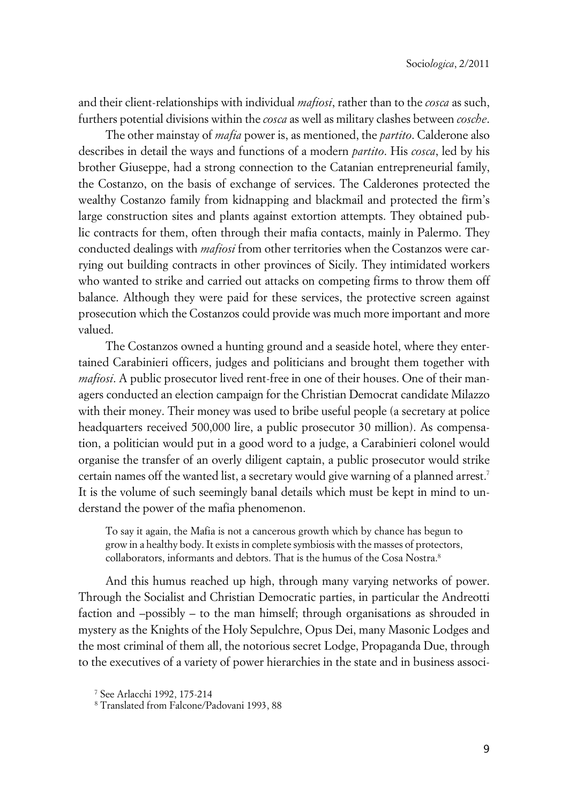and their client-relationships with individual *mafiosi*, rather than to the *cosca* as such, furthers potential divisions within the *cosca* as well as military clashes between *cosche*.

The other mainstay of *mafia* power is, as mentioned, the *partito*. Calderone also describes in detail the ways and functions of a modern *partito*. His *cosca*, led by his brother Giuseppe, had a strong connection to the Catanian entrepreneurial family, the Costanzo, on the basis of exchange of services. The Calderones protected the wealthy Costanzo family from kidnapping and blackmail and protected the firm's large construction sites and plants against extortion attempts. They obtained public contracts for them, often through their mafia contacts, mainly in Palermo. They conducted dealings with *mafiosi* from other territories when the Costanzos were carrying out building contracts in other provinces of Sicily. They intimidated workers who wanted to strike and carried out attacks on competing firms to throw them off balance. Although they were paid for these services, the protective screen against prosecution which the Costanzos could provide was much more important and more valued.

The Costanzos owned a hunting ground and a seaside hotel, where they entertained Carabinieri officers, judges and politicians and brought them together with *mafiosi*. A public prosecutor lived rent-free in one of their houses. One of their managers conducted an election campaign for the Christian Democrat candidate Milazzo with their money. Their money was used to bribe useful people (a secretary at police headquarters received 500,000 lire, a public prosecutor 30 million). As compensation, a politician would put in a good word to a judge, a Carabinieri colonel would organise the transfer of an overly diligent captain, a public prosecutor would strike certain names off the wanted list, a secretary would give warning of a planned arrest.<sup>7</sup> It is the volume of such seemingly banal details which must be kept in mind to understand the power of the mafia phenomenon.

To say it again, the Mafia is not a cancerous growth which by chance has begun to grow in a healthy body. It exists in complete symbiosis with the masses of protectors, collaborators, informants and debtors. That is the humus of the Cosa Nostra.<sup>8</sup>

And this humus reached up high, through many varying networks of power. Through the Socialist and Christian Democratic parties, in particular the Andreotti faction and –possibly – to the man himself; through organisations as shrouded in mystery as the Knights of the Holy Sepulchre, Opus Dei, many Masonic Lodges and the most criminal of them all, the notorious secret Lodge, Propaganda Due, through to the executives of a variety of power hierarchies in the state and in business associ-

<sup>7</sup> See Arlacchi 1992, 175-214

<sup>8</sup> Translated from Falcone/Padovani 1993, 88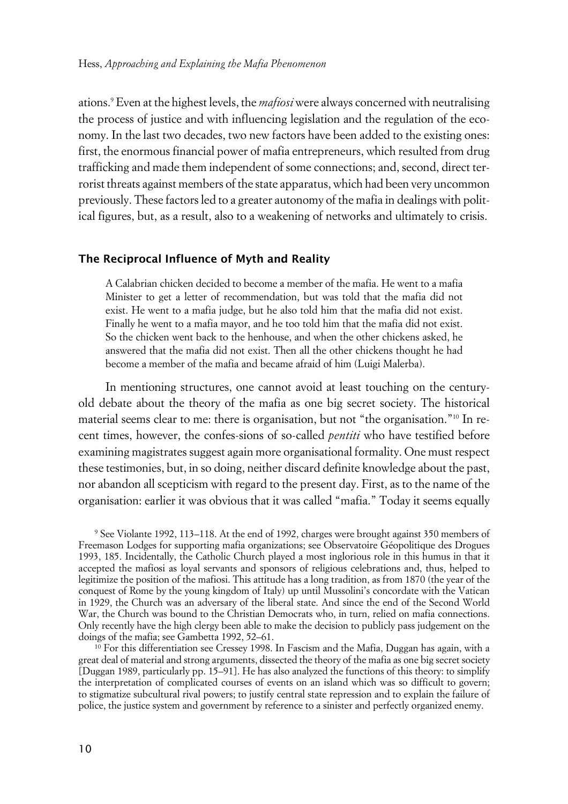ations.<sup>9</sup> Even at the highest levels, the *mafiosi* were always concerned with neutralising the process of justice and with influencing legislation and the regulation of the economy. In the last two decades, two new factors have been added to the existing ones: first, the enormous financial power of mafia entrepreneurs, which resulted from drug trafficking and made them independent of some connections; and, second, direct terrorist threats against members of the state apparatus, which had been very uncommon previously. These factors led to a greater autonomy of the mafia in dealings with political figures, but, as a result, also to a weakening of networks and ultimately to crisis.

#### **xThe Reciprocal Influence of Myth and Reality**

A Calabrian chicken decided to become a member of the mafia. He went to a mafia Minister to get a letter of recommendation, but was told that the mafia did not exist. He went to a mafia judge, but he also told him that the mafia did not exist. Finally he went to a mafia mayor, and he too told him that the mafia did not exist. So the chicken went back to the henhouse, and when the other chickens asked, he answered that the mafia did not exist. Then all the other chickens thought he had become a member of the mafia and became afraid of him (Luigi Malerba).

In mentioning structures, one cannot avoid at least touching on the centuryold debate about the theory of the mafia as one big secret society. The historical material seems clear to me: there is organisation, but not "the organisation."10 In recent times, however, the confes-sions of so-called *pentiti* who have testified before examining magistrates suggest again more organisational formality. One must respect these testimonies, but, in so doing, neither discard definite knowledge about the past, nor abandon all scepticism with regard to the present day. First, as to the name of the organisation: earlier it was obvious that it was called "mafia." Today it seems equally

9 See Violante 1992, 113–118. At the end of 1992, charges were brought against 350 members of Freemason Lodges for supporting mafia organizations; see Observatoire Géopolitique des Drogues 1993, 185. Incidentally, the Catholic Church played a most inglorious role in this humus in that it accepted the mafiosi as loyal servants and sponsors of religious celebrations and, thus, helped to legitimize the position of the mafiosi. This attitude has a long tradition, as from 1870 (the year of the conquest of Rome by the young kingdom of Italy) up until Mussolini's concordate with the Vatican in 1929, the Church was an adversary of the liberal state. And since the end of the Second World War, the Church was bound to the Christian Democrats who, in turn, relied on mafia connections. Only recently have the high clergy been able to make the decision to publicly pass judgement on the doings of the mafia; see Gambetta 1992, 52–61.

<sup>10</sup> For this differentiation see Cressey 1998. In Fascism and the Mafia, Duggan has again, with a great deal of material and strong arguments, dissected the theory of the mafia as one big secret society [Duggan 1989, particularly pp. 15–91]. He has also analyzed the functions of this theory: to simplify the interpretation of complicated courses of events on an island which was so difficult to govern; to stigmatize subcultural rival powers; to justify central state repression and to explain the failure of police, the justice system and government by reference to a sinister and perfectly organized enemy.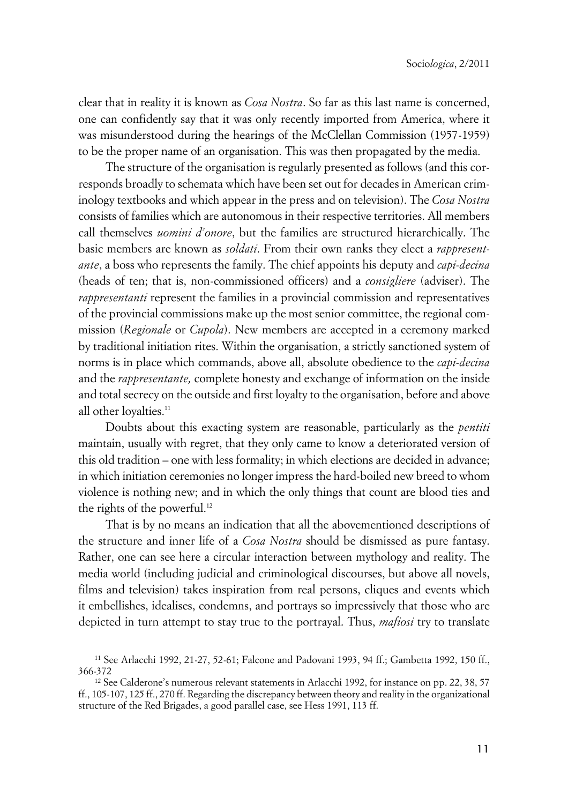clear that in reality it is known as *Cosa Nostra*. So far as this last name is concerned, one can confidently say that it was only recently imported from America, where it was misunderstood during the hearings of the McClellan Commission (1957-1959) to be the proper name of an organisation. This was then propagated by the media.

The structure of the organisation is regularly presented as follows (and this corresponds broadly to schemata which have been set out for decades in American criminology textbooks and which appear in the press and on television). The *Cosa Nostra* consists of families which are autonomous in their respective territories. All members call themselves *uomini d'onore*, but the families are structured hierarchically. The basic members are known as *soldati*. From their own ranks they elect a *rappresentante*, a boss who represents the family. The chief appoints his deputy and *capi-decina* (heads of ten; that is, non-commissioned officers) and a *consigliere* (adviser). The *rappresentanti* represent the families in a provincial commission and representatives of the provincial commissions make up the most senior committee, the regional commission (*Regionale* or *Cupola*). New members are accepted in a ceremony marked by traditional initiation rites. Within the organisation, a strictly sanctioned system of norms is in place which commands, above all, absolute obedience to the *capi-decina* and the *rappresentante,* complete honesty and exchange of information on the inside and total secrecy on the outside and first loyalty to the organisation, before and above all other loyalties.<sup>11</sup>

Doubts about this exacting system are reasonable, particularly as the *pentiti* maintain, usually with regret, that they only came to know a deteriorated version of this old tradition – one with less formality; in which elections are decided in advance; in which initiation ceremonies no longer impress the hard-boiled new breed to whom violence is nothing new; and in which the only things that count are blood ties and the rights of the powerful.<sup>12</sup>

That is by no means an indication that all the abovementioned descriptions of the structure and inner life of a *Cosa Nostra* should be dismissed as pure fantasy. Rather, one can see here a circular interaction between mythology and reality. The media world (including judicial and criminological discourses, but above all novels, films and television) takes inspiration from real persons, cliques and events which it embellishes, idealises, condemns, and portrays so impressively that those who are depicted in turn attempt to stay true to the portrayal. Thus, *mafiosi* try to translate

<sup>11</sup> See Arlacchi 1992, 21-27, 52-61; Falcone and Padovani 1993, 94 ff.; Gambetta 1992, 150 ff., 366-372

<sup>&</sup>lt;sup>12</sup> See Calderone's numerous relevant statements in Arlacchi 1992, for instance on pp. 22, 38, 57 ff., 105-107, 125 ff., 270 ff. Regarding the discrepancy between theory and reality in the organizational structure of the Red Brigades, a good parallel case, see Hess 1991, 113 ff.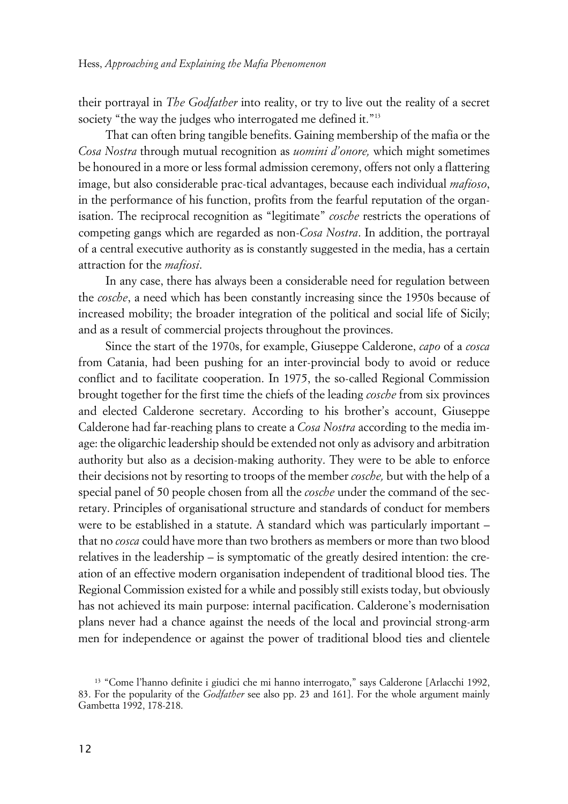their portrayal in *The Godfather* into reality, or try to live out the reality of a secret society "the way the judges who interrogated me defined it."<sup>13</sup>

That can often bring tangible benefits. Gaining membership of the mafia or the *Cosa Nostra* through mutual recognition as *uomini d'onore,* which might sometimes be honoured in a more or less formal admission ceremony, offers not only a flattering image, but also considerable prac-tical advantages, because each individual *mafioso*, in the performance of his function, profits from the fearful reputation of the organisation. The reciprocal recognition as "legitimate" *cosche* restricts the operations of competing gangs which are regarded as non-*Cosa Nostra*. In addition, the portrayal of a central executive authority as is constantly suggested in the media, has a certain attraction for the *mafiosi*.

In any case, there has always been a considerable need for regulation between the *cosche*, a need which has been constantly increasing since the 1950s because of increased mobility; the broader integration of the political and social life of Sicily; and as a result of commercial projects throughout the provinces.

Since the start of the 1970s, for example, Giuseppe Calderone, *capo* of a *cosca* from Catania, had been pushing for an inter-provincial body to avoid or reduce conflict and to facilitate cooperation. In 1975, the so-called Regional Commission brought together for the first time the chiefs of the leading *cosche* from six provinces and elected Calderone secretary. According to his brother's account, Giuseppe Calderone had far-reaching plans to create a *Cosa Nostra* according to the media image: the oligarchic leadership should be extended not only as advisory and arbitration authority but also as a decision-making authority. They were to be able to enforce their decisions not by resorting to troops of the member *cosche,* but with the help of a special panel of 50 people chosen from all the *cosche* under the command of the secretary. Principles of organisational structure and standards of conduct for members were to be established in a statute. A standard which was particularly important – that no *cosca* could have more than two brothers as members or more than two blood relatives in the leadership – is symptomatic of the greatly desired intention: the creation of an effective modern organisation independent of traditional blood ties. The Regional Commission existed for a while and possibly still exists today, but obviously has not achieved its main purpose: internal pacification. Calderone's modernisation plans never had a chance against the needs of the local and provincial strong-arm men for independence or against the power of traditional blood ties and clientele

<sup>13</sup> "Come l'hanno definite i giudici che mi hanno interrogato," says Calderone [Arlacchi 1992, 83. For the popularity of the *Godfather* see also pp. 23 and 161]. For the whole argument mainly Gambetta 1992, 178-218.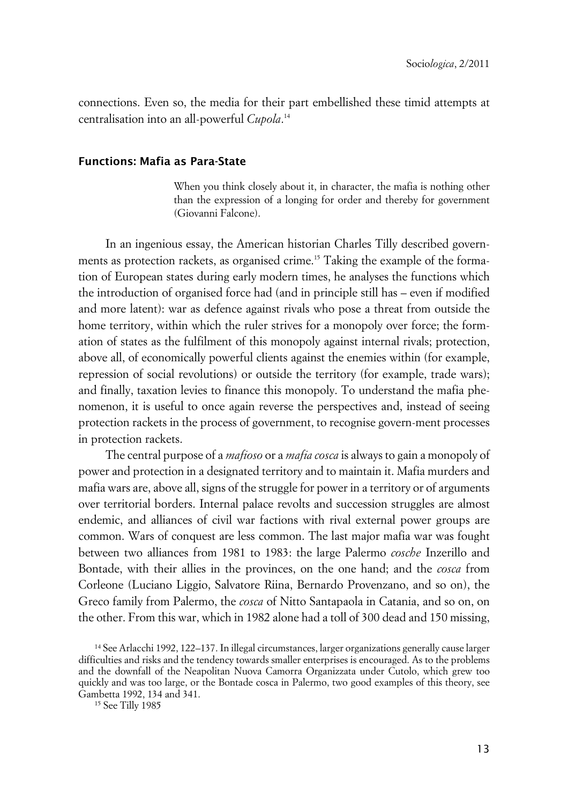connections. Even so, the media for their part embellished these timid attempts at centralisation into an all-powerful *Cupola*. 14

#### **xFunctions: Mafia as Para-State**

When you think closely about it, in character, the mafia is nothing other than the expression of a longing for order and thereby for government (Giovanni Falcone).

In an ingenious essay, the American historian Charles Tilly described governments as protection rackets, as organised crime.<sup>15</sup> Taking the example of the formation of European states during early modern times, he analyses the functions which the introduction of organised force had (and in principle still has – even if modified and more latent): war as defence against rivals who pose a threat from outside the home territory, within which the ruler strives for a monopoly over force; the formation of states as the fulfilment of this monopoly against internal rivals; protection, above all, of economically powerful clients against the enemies within (for example, repression of social revolutions) or outside the territory (for example, trade wars); and finally, taxation levies to finance this monopoly. To understand the mafia phenomenon, it is useful to once again reverse the perspectives and, instead of seeing protection rackets in the process of government, to recognise govern-ment processes in protection rackets.

The central purpose of a *mafioso* or a *mafia cosca* is always to gain a monopoly of power and protection in a designated territory and to maintain it. Mafia murders and mafia wars are, above all, signs of the struggle for power in a territory or of arguments over territorial borders. Internal palace revolts and succession struggles are almost endemic, and alliances of civil war factions with rival external power groups are common. Wars of conquest are less common. The last major mafia war was fought between two alliances from 1981 to 1983: the large Palermo *cosche* Inzerillo and Bontade, with their allies in the provinces, on the one hand; and the *cosca* from Corleone (Luciano Liggio, Salvatore Riina, Bernardo Provenzano, and so on), the Greco family from Palermo, the *cosca* of Nitto Santapaola in Catania, and so on, on the other. From this war, which in 1982 alone had a toll of 300 dead and 150 missing,  $\overline{a}$ 

<sup>14</sup> See Arlacchi 1992, 122–137. In illegal circumstances, larger organizations generally cause larger difficulties and risks and the tendency towards smaller enterprises is encouraged. As to the problems and the downfall of the Neapolitan Nuova Camorra Organizzata under Cutolo, which grew too quickly and was too large, or the Bontade cosca in Palermo, two good examples of this theory, see Gambetta 1992, 134 and 341.

15 See Tilly 1985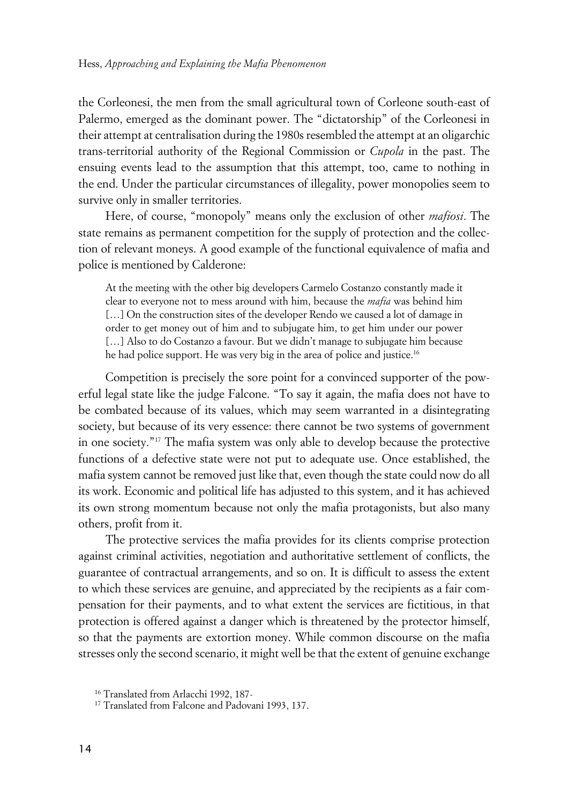the Corleonesi, the men from the small agricultural town of Corleone south-east of Palermo, emerged as the dominant power. The "dictatorship" of the Corleonesi in their attempt at centralisation during the 1980s resembled the attempt at an oligarchic trans-territorial authority of the Regional Commission or *Cupola* in the past. The ensuing events lead to the assumption that this attempt, too, came to nothing in the end. Under the particular circumstances of illegality, power monopolies seem to survive only in smaller territories.

Here, of course, "monopoly" means only the exclusion of other *mafiosi*. The state remains as permanent competition for the supply of protection and the collection of relevant moneys. A good example of the functional equivalence of mafia and police is mentioned by Calderone:

At the meeting with the other big developers Carmelo Costanzo constantly made it clear to everyone not to mess around with him, because the *mafia* was behind him [...] On the construction sites of the developer Rendo we caused a lot of damage in order to get money out of him and to subjugate him, to get him under our power [...] Also to do Costanzo a favour. But we didn't manage to subjugate him because he had police support. He was very big in the area of police and justice.<sup>16</sup>

Competition is precisely the sore point for a convinced supporter of the powerful legal state like the judge Falcone. "To say it again, the mafia does not have to be combated because of its values, which may seem warranted in a disintegrating society, but because of its very essence: there cannot be two systems of government in one society."<sup>17</sup> The mafia system was only able to develop because the protective functions of a defective state were not put to adequate use. Once established, the mafia system cannot be removed just like that, even though the state could now do all its work. Economic and political life has adjusted to this system, and it has achieved its own strong momentum because not only the mafia protagonists, but also many others, profit from it.

The protective services the mafia provides for its clients comprise protection against criminal activities, negotiation and authoritative settlement of conflicts, the guarantee of contractual arrangements, and so on. It is difficult to assess the extent to which these services are genuine, and appreciated by the recipients as a fair compensation for their payments, and to what extent the services are fictitious, in that protection is offered against a danger which is threatened by the protector himself, so that the payments are extortion money. While common discourse on the mafia stresses only the second scenario, it might well be that the extent of genuine exchange

<sup>16</sup> Translated from Arlacchi 1992, 187-

<sup>&</sup>lt;sup>17</sup> Translated from Falcone and Padovani 1993, 137.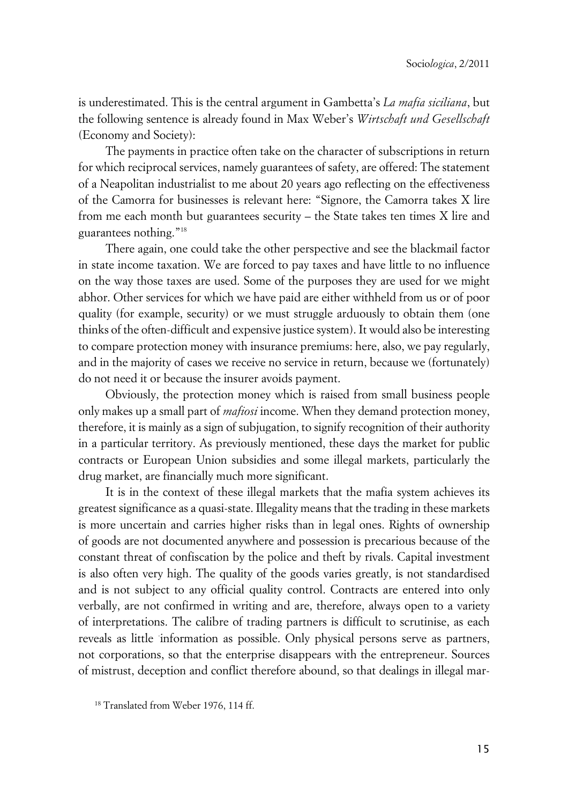is underestimated. This is the central argument in Gambetta's *La mafia siciliana*, but the following sentence is already found in Max Weber's *Wirtschaft und Gesellschaft* (Economy and Society):

The payments in practice often take on the character of subscriptions in return for which reciprocal services, namely guarantees of safety, are offered: The statement of a Neapolitan industrialist to me about 20 years ago reflecting on the effectiveness of the Camorra for businesses is relevant here: "Signore, the Camorra takes X lire from me each month but guarantees security – the State takes ten times X lire and guarantees nothing."<sup>18</sup>

There again, one could take the other perspective and see the blackmail factor in state income taxation. We are forced to pay taxes and have little to no influence on the way those taxes are used. Some of the purposes they are used for we might abhor. Other services for which we have paid are either withheld from us or of poor quality (for example, security) or we must struggle arduously to obtain them (one thinks of the often-difficult and expensive justice system). It would also be interesting to compare protection money with insurance premiums: here, also, we pay regularly, and in the majority of cases we receive no service in return, because we (fortunately) do not need it or because the insurer avoids payment.

Obviously, the protection money which is raised from small business people only makes up a small part of *mafiosi* income. When they demand protection money, therefore, it is mainly as a sign of subjugation, to signify recognition of their authority in a particular territory. As previously mentioned, these days the market for public contracts or European Union subsidies and some illegal markets, particularly the drug market, are financially much more significant.

It is in the context of these illegal markets that the mafia system achieves its greatest significance as a quasi-state. Illegality means that the trading in these markets is more uncertain and carries higher risks than in legal ones. Rights of ownership of goods are not documented anywhere and possession is precarious because of the constant threat of confiscation by the police and theft by rivals. Capital investment is also often very high. The quality of the goods varies greatly, is not standardised and is not subject to any official quality control. Contracts are entered into only verbally, are not confirmed in writing and are, therefore, always open to a variety of interpretations. The calibre of trading partners is difficult to scrutinise, as each reveals as little information as possible. Only physical persons serve as partners, not corporations, so that the enterprise disappears with the entrepreneur. Sources of mistrust, deception and conflict therefore abound, so that dealings in illegal mar-

<sup>&</sup>lt;sup>18</sup> Translated from Weber 1976, 114 ff.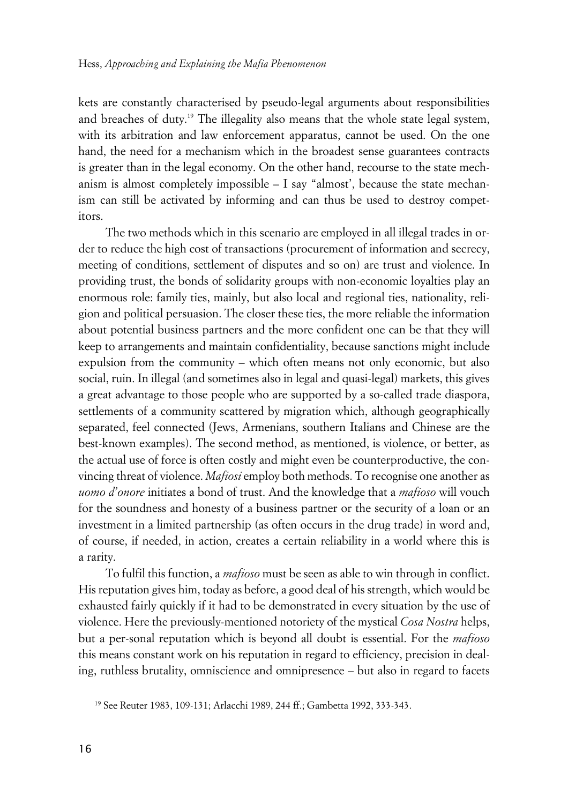kets are constantly characterised by pseudo-legal arguments about responsibilities and breaches of duty.<sup>19</sup> The illegality also means that the whole state legal system, with its arbitration and law enforcement apparatus, cannot be used. On the one hand, the need for a mechanism which in the broadest sense guarantees contracts is greater than in the legal economy. On the other hand, recourse to the state mechanism is almost completely impossible – I say "almost', because the state mechanism can still be activated by informing and can thus be used to destroy competitors.

The two methods which in this scenario are employed in all illegal trades in order to reduce the high cost of transactions (procurement of information and secrecy, meeting of conditions, settlement of disputes and so on) are trust and violence. In providing trust, the bonds of solidarity groups with non-economic loyalties play an enormous role: family ties, mainly, but also local and regional ties, nationality, religion and political persuasion. The closer these ties, the more reliable the information about potential business partners and the more confident one can be that they will keep to arrangements and maintain confidentiality, because sanctions might include expulsion from the community – which often means not only economic, but also social, ruin. In illegal (and sometimes also in legal and quasi-legal) markets, this gives a great advantage to those people who are supported by a so-called trade diaspora, settlements of a community scattered by migration which, although geographically separated, feel connected (Jews, Armenians, southern Italians and Chinese are the best-known examples). The second method, as mentioned, is violence, or better, as the actual use of force is often costly and might even be counterproductive, the convincing threat of violence. *Mafiosi* employ both methods. To recognise one another as *uomo d'onore* initiates a bond of trust. And the knowledge that a *mafioso* will vouch for the soundness and honesty of a business partner or the security of a loan or an investment in a limited partnership (as often occurs in the drug trade) in word and, of course, if needed, in action, creates a certain reliability in a world where this is a rarity.

To fulfil this function, a *mafioso* must be seen as able to win through in conflict. His reputation gives him, today as before, a good deal of his strength, which would be exhausted fairly quickly if it had to be demonstrated in every situation by the use of violence. Here the previously-mentioned notoriety of the mystical *Cosa Nostra* helps, but a per-sonal reputation which is beyond all doubt is essential. For the *mafioso* this means constant work on his reputation in regard to efficiency, precision in dealing, ruthless brutality, omniscience and omnipresence – but also in regard to facets

<sup>19</sup> See Reuter 1983, 109-131; Arlacchi 1989, 244 ff.; Gambetta 1992, 333-343.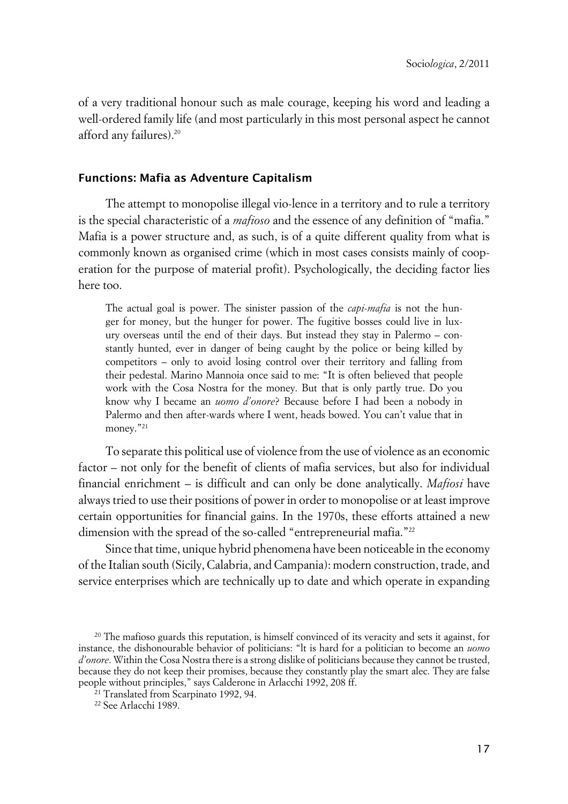of a very traditional honour such as male courage, keeping his word and leading a well-ordered family life (and most particularly in this most personal aspect he cannot afford any failures).<sup>20</sup>

#### **xFunctions: Mafia as Adventure Capitalism**

The attempt to monopolise illegal vio-lence in a territory and to rule a territory is the special characteristic of a *mafioso* and the essence of any definition of "mafia." Mafia is a power structure and, as such, is of a quite different quality from what is commonly known as organised crime (which in most cases consists mainly of cooperation for the purpose of material profit). Psychologically, the deciding factor lies here too.

The actual goal is power. The sinister passion of the *capi-mafia* is not the hunger for money, but the hunger for power. The fugitive bosses could live in luxury overseas until the end of their days. But instead they stay in Palermo – constantly hunted, ever in danger of being caught by the police or being killed by competitors – only to avoid losing control over their territory and falling from their pedestal. Marino Mannoia once said to me: "It is often believed that people work with the Cosa Nostra for the money. But that is only partly true. Do you know why I became an *uomo d'onore*? Because before I had been a nobody in Palermo and then after-wards where I went, heads bowed. You can't value that in money."<sup>21</sup>

To separate this political use of violence from the use of violence as an economic factor – not only for the benefit of clients of mafia services, but also for individual financial enrichment – is difficult and can only be done analytically. *Mafiosi* have always tried to use their positions of power in order to monopolise or at least improve certain opportunities for financial gains. In the 1970s, these efforts attained a new dimension with the spread of the so-called "entrepreneurial mafia."<sup>22</sup>

Since that time, unique hybrid phenomena have been noticeable in the economy of the Italian south (Sicily, Calabria, and Campania): modern construction, trade, and service enterprises which are technically up to date and which operate in expanding

<sup>&</sup>lt;sup>20</sup> The mafioso guards this reputation, is himself convinced of its veracity and sets it against, for instance, the dishonourable behavior of politicians: "lt is hard for a politician to become an *uomo d'onore*. Within the Cosa Nostra there is a strong dislike of politicians because they cannot be trusted, because they do not keep their promises, because they constantly play the smart alec. They are false people without principles," says Calderone in Arlacchi 1992, 208 ff.

<sup>&</sup>lt;sup>21</sup> Translated from Scarpinato 1992, 94.

<sup>22</sup> See Arlacchi 1989.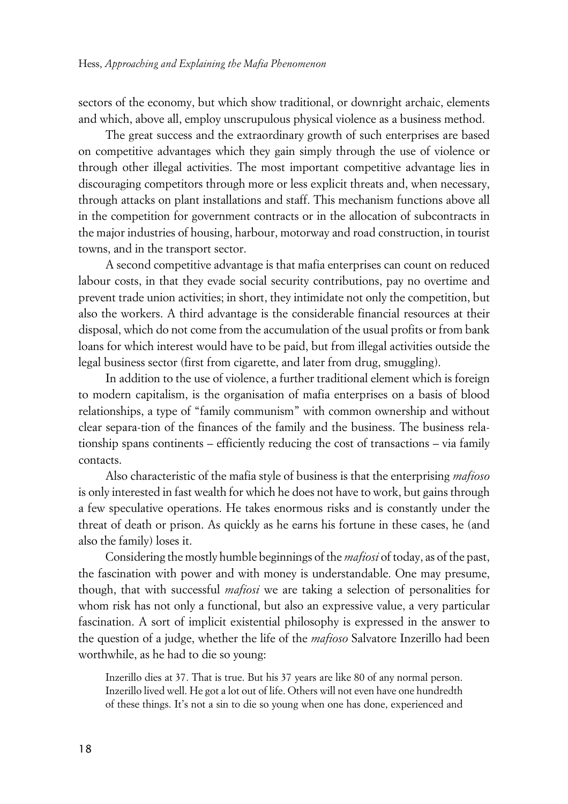sectors of the economy, but which show traditional, or downright archaic, elements and which, above all, employ unscrupulous physical violence as a business method.

The great success and the extraordinary growth of such enterprises are based on competitive advantages which they gain simply through the use of violence or through other illegal activities. The most important competitive advantage lies in discouraging competitors through more or less explicit threats and, when necessary, through attacks on plant installations and staff. This mechanism functions above all in the competition for government contracts or in the allocation of subcontracts in the major industries of housing, harbour, motorway and road construction, in tourist towns, and in the transport sector.

A second competitive advantage is that mafia enterprises can count on reduced labour costs, in that they evade social security contributions, pay no overtime and prevent trade union activities; in short, they intimidate not only the competition, but also the workers. A third advantage is the considerable financial resources at their disposal, which do not come from the accumulation of the usual profits or from bank loans for which interest would have to be paid, but from illegal activities outside the legal business sector (first from cigarette, and later from drug, smuggling).

In addition to the use of violence, a further traditional element which is foreign to modern capitalism, is the organisation of mafia enterprises on a basis of blood relationships, a type of "family communism" with common ownership and without clear separa-tion of the finances of the family and the business. The business relationship spans continents – efficiently reducing the cost of transactions – via family contacts.

Also characteristic of the mafia style of business is that the enterprising *mafioso* is only interested in fast wealth for which he does not have to work, but gains through a few speculative operations. He takes enormous risks and is constantly under the threat of death or prison. As quickly as he earns his fortune in these cases, he (and also the family) loses it.

Considering the mostly humble beginnings of the *mafiosi* of today, as of the past, the fascination with power and with money is understandable. One may presume, though, that with successful *mafiosi* we are taking a selection of personalities for whom risk has not only a functional, but also an expressive value, a very particular fascination. A sort of implicit existential philosophy is expressed in the answer to the question of a judge, whether the life of the *mafioso* Salvatore Inzerillo had been worthwhile, as he had to die so young:

Inzerillo dies at 37. That is true. But his 37 years are like 80 of any normal person. Inzerillo lived well. He got a lot out of life. Others will not even have one hundredth of these things. It's not a sin to die so young when one has done, experienced and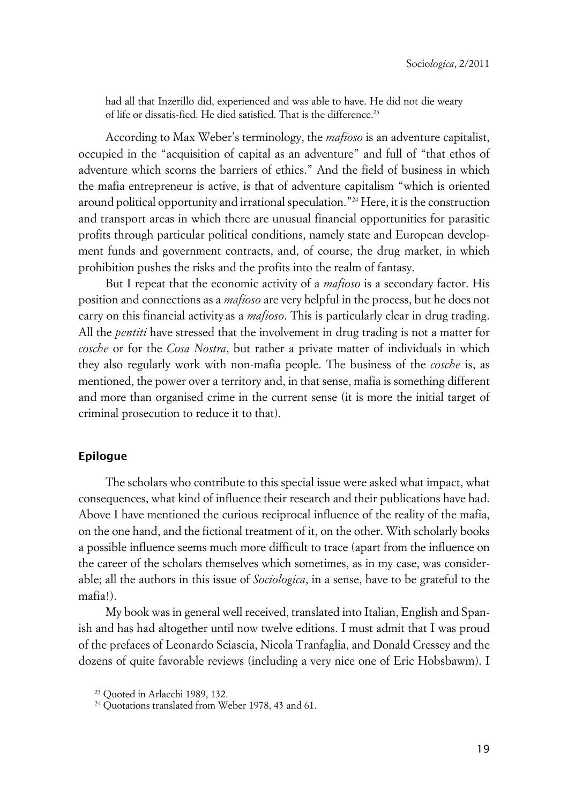had all that Inzerillo did, experienced and was able to have. He did not die weary of life or dissatis-fied. He died satisfied. That is the difference.<sup>23</sup>

According to Max Weber's terminology, the *mafioso* is an adventure capitalist, occupied in the "acquisition of capital as an adventure" and full of "that ethos of adventure which scorns the barriers of ethics." And the field of business in which the mafia entrepreneur is active, is that of adventure capitalism "which is oriented around political opportunity and irrational speculation."24 Here, it is the construction and transport areas in which there are unusual financial opportunities for parasitic profits through particular political conditions, namely state and European development funds and government contracts, and, of course, the drug market, in which prohibition pushes the risks and the profits into the realm of fantasy.

But I repeat that the economic activity of a *mafioso* is a secondary factor. His position and connections as a *mafioso* are very helpful in the process, but he does not carry on this financial activity as a *mafioso*. This is particularly clear in drug trading. All the *pentiti* have stressed that the involvement in drug trading is not a matter for *cosche* or for the *Cosa Nostra*, but rather a private matter of individuals in which they also regularly work with non-mafia people. The business of the *cosche* is, as mentioned, the power over a territory and, in that sense, mafia is something different and more than organised crime in the current sense (it is more the initial target of criminal prosecution to reduce it to that).

#### **xEpilogue**

The scholars who contribute to this special issue were asked what impact, what consequences, what kind of influence their research and their publications have had. Above I have mentioned the curious reciprocal influence of the reality of the mafia, on the one hand, and the fictional treatment of it, on the other. With scholarly books a possible influence seems much more difficult to trace (apart from the influence on the career of the scholars themselves which sometimes, as in my case, was considerable; all the authors in this issue of *Sociologica*, in a sense, have to be grateful to the mafia!).

My book was in general well received, translated into Italian, English and Spanish and has had altogether until now twelve editions. I must admit that I was proud of the prefaces of Leonardo Sciascia, Nicola Tranfaglia, and Donald Cressey and the dozens of quite favorable reviews (including a very nice one of Eric Hobsbawm). I

<sup>23</sup> Quoted in Arlacchi 1989, 132.

<sup>&</sup>lt;sup>24</sup> Ouotations translated from Weber 1978, 43 and 61.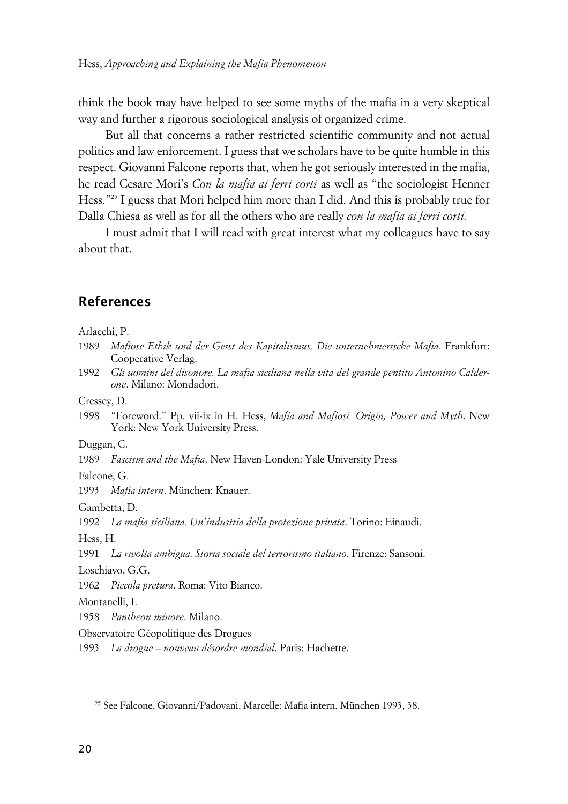think the book may have helped to see some myths of the mafia in a very skeptical way and further a rigorous sociological analysis of organized crime.

But all that concerns a rather restricted scientific community and not actual politics and law enforcement. I guess that we scholars have to be quite humble in this respect. Giovanni Falcone reports that, when he got seriously interested in the mafia, he read Cesare Mori's *Con la mafia ai ferri corti* as well as "the sociologist Henner Hess."25 I guess that Mori helped him more than I did. And this is probably true for Dalla Chiesa as well as for all the others who are really *con la mafia ai ferri corti.*

I must admit that I will read with great interest what my colleagues have to say about that.

#### **References**

Arlacchi, P.

- 1989 *Mafiose Ethik und der Geist des Kapitalismus. Die unternehmerische Mafia*. Frankfurt: Cooperative Verlag.
- 1992 *Gli uomini del disonore. La mafia siciliana nella vita del grande pentito Antonino Calderone*. Milano: Mondadori.

Cressey, D.

1998 "Foreword." Pp. vii-ix in H. Hess, *Mafia and Mafiosi. Origin, Power and Myth*. New York: New York University Press.

Duggan, C.

1989 *Fascism and the Mafia*. New Haven-London: Yale University Press

Falcone, G.

1993 *Mafia intern*. München: Knauer.

Gambetta, D.

1992 *La mafia siciliana. Un'industria della protezione privata*. Torino: Einaudi.

Hess, H.

1991 *La rivolta ambigua. Storia sociale del terrorismo italiano*. Firenze: Sansoni.

Loschiavo, G.G.

1962 *Piccola pretura*. Roma: Vito Bianco.

Montanelli, I.

1958 *Pantheon minore*. Milano.

Observatoire Géopolitique des Drogues

1993 *La drogue – nouveau désordre mondial*. Paris: Hachette.

25 See Falcone, Giovanni/Padovani, Marcelle: Mafia intern. München 1993, 38.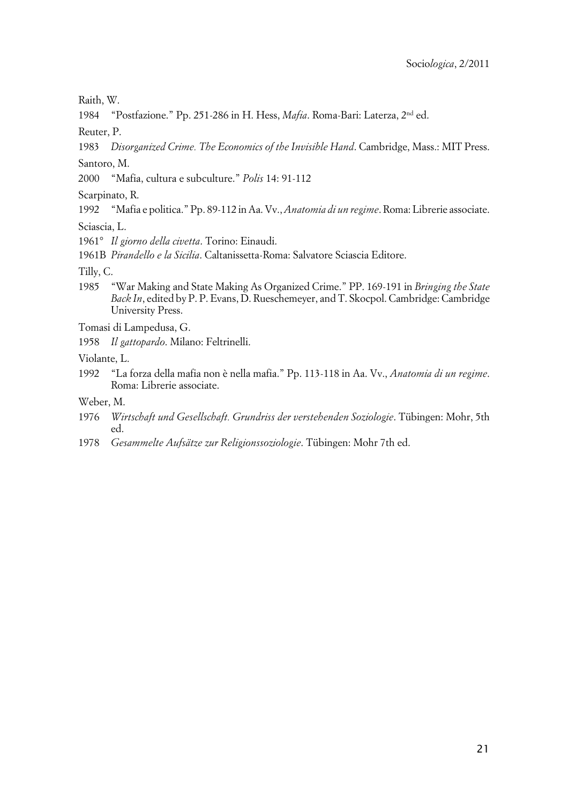Raith, W.

1984 "Postfazione." Pp. 251-286 in H. Hess, *Mafia*. Roma-Bari: Laterza, 2nd ed.

Reuter, P.

1983 *Disorganized Crime. The Economics of the Invisible Hand*. Cambridge, Mass.: MIT Press. Santoro, M.

2000 "Mafia, cultura e subculture." *Polis* 14: 91-112

Scarpinato, R.

1992 "Mafia e politica." Pp. 89-112 in Aa. Vv., *Anatomia di un regime*. Roma: Librerie associate.

Sciascia, L.

- 1961° *Il giorno della civetta*. Torino: Einaudi.
- 1961B *Pirandello e la Sicilia*. Caltanissetta-Roma: Salvatore Sciascia Editore.

Tilly, C.

- 1985 "War Making and State Making As Organized Crime." PP. 169-191 in *Bringing the State Back In*, edited by P. P. Evans, D. Rueschemeyer, and T. Skocpol. Cambridge: Cambridge University Press.
- Tomasi di Lampedusa, G.
- 1958 *Il gattopardo*. Milano: Feltrinelli.

Violante, L.

1992 "La forza della mafia non è nella mafia." Pp. 113-118 in Aa. Vv., *Anatomia di un regime*. Roma: Librerie associate.

Weber, M.

- 1976 *Wirtschaft und Gesellschaft. Grundriss der verstehenden Soziologie*. Tübingen: Mohr, 5th ed.
- 1978 *Gesammelte Aufsätze zur Religionssoziologie*. Tübingen: Mohr 7th ed.